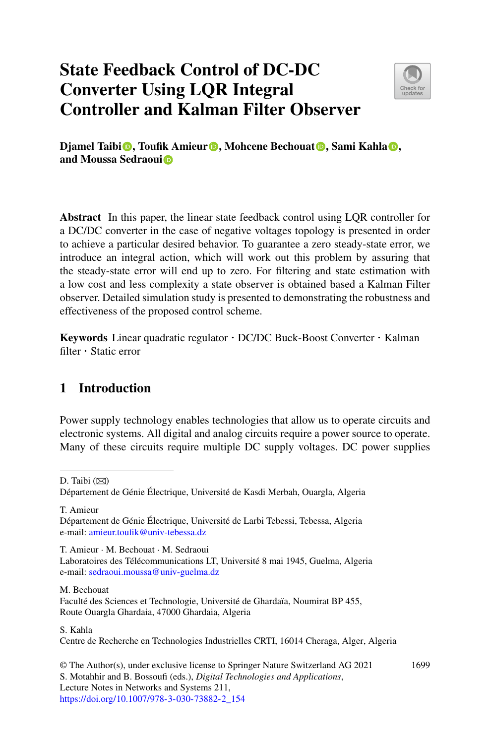# **State Feedback Control of DC-DC Converter Using LQR Integral Controller and Kalman Filter Observer**



**Djamel Taibi [,](http://orcid.org/0000-0002-7596-3739)** Toufik Amieur **D**, Mohcene Bechouat **D**, Sami Kahla **D**, **and Moussa Sedraou[i](http://orcid.org/0000-0002-4590-2249)**

**Abstract** In this paper, the linear state feedback control using LQR controller for a DC/DC converter in the case of negative voltages topology is presented in order to achieve a particular desired behavior. To guarantee a zero steady-state error, we introduce an integral action, which will work out this problem by assuring that the steady-state error will end up to zero. For filtering and state estimation with a low cost and less complexity a state observer is obtained based a Kalman Filter observer. Detailed simulation study is presented to demonstrating the robustness and effectiveness of the proposed control scheme.

**Keywords** Linear quadratic regulator · DC/DC Buck-Boost Converter · Kalman filter · Static error

## **1 Introduction**

Power supply technology enables technologies that allow us to operate circuits and electronic systems. All digital and analog circuits require a power source to operate. Many of these circuits require multiple DC supply voltages. DC power supplies

D. Taibi ( $\boxtimes$ )

T. Amieur

Département de Génie Électrique, Université de Larbi Tebessi, Tebessa, Algeria e-mail: [amieur.toufik@univ-tebessa.dz](mailto:amieur.toufik@univ-tebessa.dz)

T. Amieur · M. Bechouat · M. Sedraoui Laboratoires des Télécommunications LT, Université 8 mai 1945, Guelma, Algeria e-mail: [sedraoui.moussa@univ-guelma.dz](mailto:sedraoui.moussa@univ-guelma.dz)

M. Bechouat

Faculté des Sciences et Technologie, Université de Ghardaïa, Noumirat BP 455, Route Ouargla Ghardaia, 47000 Ghardaia, Algeria

S. Kahla

Centre de Recherche en Technologies Industrielles CRTI, 16014 Cheraga, Alger, Algeria

© The Author(s), under exclusive license to Springer Nature Switzerland AG 2021 S. Motahhir and B. Bossoufi (eds.), *Digital Technologies and Applications*, Lecture Notes in Networks and Systems 211, [https://doi.org/10.1007/978-3-030-73882-2\\_154](https://doi.org/10.1007/978-3-030-73882-2_154)

1699

Département de Génie Électrique, Université de Kasdi Merbah, Ouargla, Algeria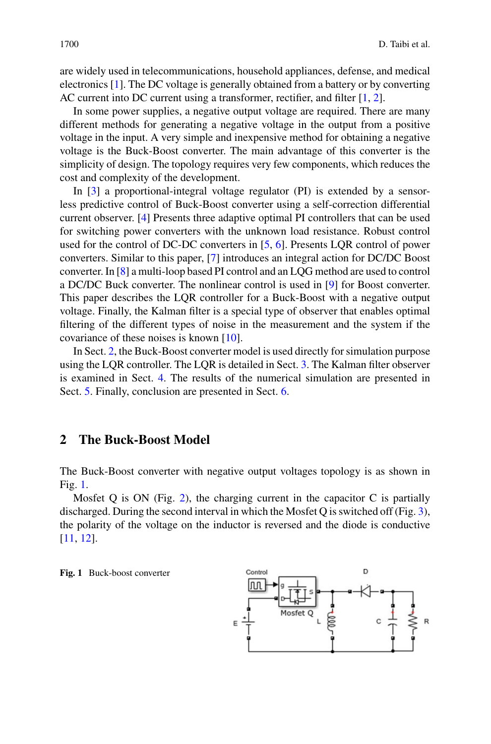are widely used in telecommunications, household appliances, defense, and medical electronics [\[1\]](#page-10-0). The DC voltage is generally obtained from a battery or by converting AC current into DC current using a transformer, rectifier, and filter [\[1,](#page-10-0) [2\]](#page-10-1).

In some power supplies, a negative output voltage are required. There are many different methods for generating a negative voltage in the output from a positive voltage in the input. A very simple and inexpensive method for obtaining a negative voltage is the Buck-Boost converter. The main advantage of this converter is the simplicity of design. The topology requires very few components, which reduces the cost and complexity of the development.

In [\[3\]](#page-10-2) a proportional-integral voltage regulator (PI) is extended by a sensorless predictive control of Buck-Boost converter using a self-correction differential current observer. [\[4\]](#page-10-3) Presents three adaptive optimal PI controllers that can be used for switching power converters with the unknown load resistance. Robust control used for the control of DC-DC converters in [\[5,](#page-10-4) [6\]](#page-10-5). Presents LQR control of power converters. Similar to this paper, [\[7\]](#page-10-6) introduces an integral action for DC/DC Boost converter. In [\[8\]](#page-10-7) a multi-loop based PI control and an LQG method are used to control a DC/DC Buck converter. The nonlinear control is used in [\[9\]](#page-10-8) for Boost converter. This paper describes the LQR controller for a Buck-Boost with a negative output voltage. Finally, the Kalman filter is a special type of observer that enables optimal filtering of the different types of noise in the measurement and the system if the covariance of these noises is known [\[10\]](#page-10-9).

In Sect. [2,](#page-1-0) the Buck-Boost converter model is used directly for simulation purpose using the LQR controller. The LQR is detailed in Sect. [3.](#page-3-0) The Kalman filter observer is examined in Sect. [4.](#page-4-0) The results of the numerical simulation are presented in Sect. [5.](#page-5-0) Finally, conclusion are presented in Sect. [6.](#page-9-0)

#### <span id="page-1-0"></span>**2 The Buck-Boost Model**

The Buck-Boost converter with negative output voltages topology is as shown in Fig. [1.](#page-1-1)

Mosfet Q is ON (Fig. [2\)](#page-2-0), the charging current in the capacitor C is partially discharged. During the second interval in which the Mosfet Q is switched off (Fig. [3\)](#page-2-1), the polarity of the voltage on the inductor is reversed and the diode is conductive [\[11,](#page-10-10) [12\]](#page-10-11).

<span id="page-1-1"></span>**Fig. 1** Buck-boost converter

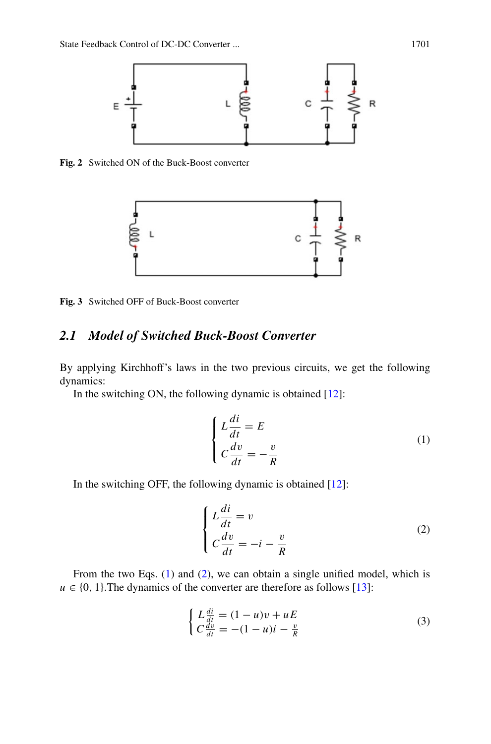

<span id="page-2-0"></span>**Fig. 2** Switched ON of the Buck-Boost converter



<span id="page-2-1"></span>**Fig. 3** Switched OFF of Buck-Boost converter

## *2.1 Model of Switched Buck-Boost Converter*

By applying Kirchhoff's laws in the two previous circuits, we get the following dynamics:

In the switching ON, the following dynamic is obtained  $[12]$ :

<span id="page-2-2"></span>
$$
\begin{cases}\nL\frac{di}{dt} = E \\
C\frac{dv}{dt} = -\frac{v}{R}\n\end{cases}
$$
\n(1)

In the switching OFF, the following dynamic is obtained [\[12\]](#page-10-11):

<span id="page-2-3"></span>
$$
\begin{cases}\nL\frac{di}{dt} = v \\
C\frac{dv}{dt} = -i - \frac{v}{R}\n\end{cases}
$$
\n(2)

From the two Eqs. [\(1\)](#page-2-2) and [\(2\)](#page-2-3), we can obtain a single unified model, which is  $u \in \{0, 1\}$ . The dynamics of the converter are therefore as follows [\[13\]](#page-10-12):

$$
\begin{cases}\nL\frac{di}{dt} = (1-u)v + uE \\
C\frac{dv}{dt} = -(1-u)i - \frac{v}{R}\n\end{cases}
$$
\n(3)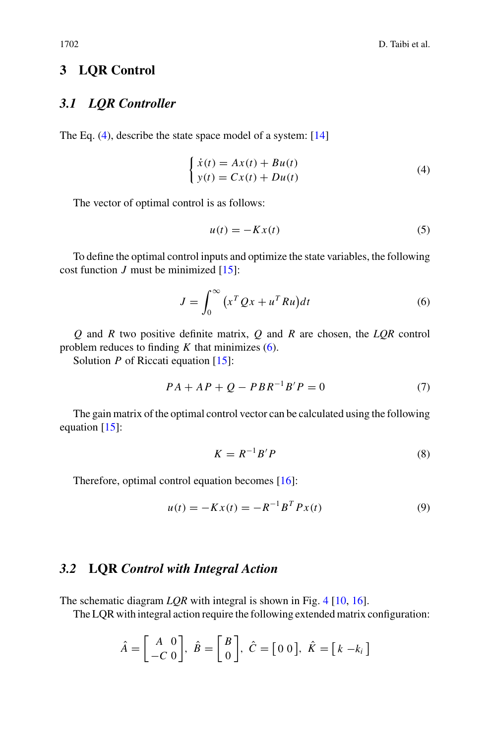#### <span id="page-3-0"></span>**3 LQR Control**

# *3.1 LQR Controller*

The Eq. [\(4\)](#page-3-1), describe the state space model of a system: [\[14\]](#page-10-13)

$$
\begin{cases}\n\dot{x}(t) = Ax(t) + Bu(t) \\
y(t) = Cx(t) + Du(t)\n\end{cases} (4)
$$

The vector of optimal control is as follows:

<span id="page-3-2"></span><span id="page-3-1"></span>
$$
u(t) = -Kx(t) \tag{5}
$$

To define the optimal control inputs and optimize the state variables, the following cost function *J* must be minimized  $[15]$ :

$$
J = \int_0^\infty \left( x^T Q x + u^T R u \right) dt \tag{6}
$$

*Q* and *R* two positive definite matrix, *Q* and *R* are chosen, the *LQR* control problem reduces to finding *K* that minimizes [\(6\)](#page-3-2).

Solution *P* of Riccati equation [\[15\]](#page-10-14):

$$
PA + AP + Q - PBR^{-1}B'P = 0
$$
 (7)

The gain matrix of the optimal control vector can be calculated using the following equation [\[15\]](#page-10-14):

$$
K = R^{-1}B'P \tag{8}
$$

Therefore, optimal control equation becomes [\[16\]](#page-10-15):

$$
u(t) = -Kx(t) = -R^{-1}B^{T}Px(t)
$$
\n(9)

# *3.2* **LQR** *Control with Integral Action*

The schematic diagram *LQR* with integral is shown in Fig. [4](#page-4-1) [\[10,](#page-10-9) [16\]](#page-10-15).

The LQR with integral action require the following extended matrix configuration:

$$
\hat{A} = \begin{bmatrix} A & 0 \\ -C & 0 \end{bmatrix}, \ \hat{B} = \begin{bmatrix} B \\ 0 \end{bmatrix}, \ \hat{C} = \begin{bmatrix} 0 & 0 \end{bmatrix}, \ \hat{K} = \begin{bmatrix} k & -k \end{bmatrix}
$$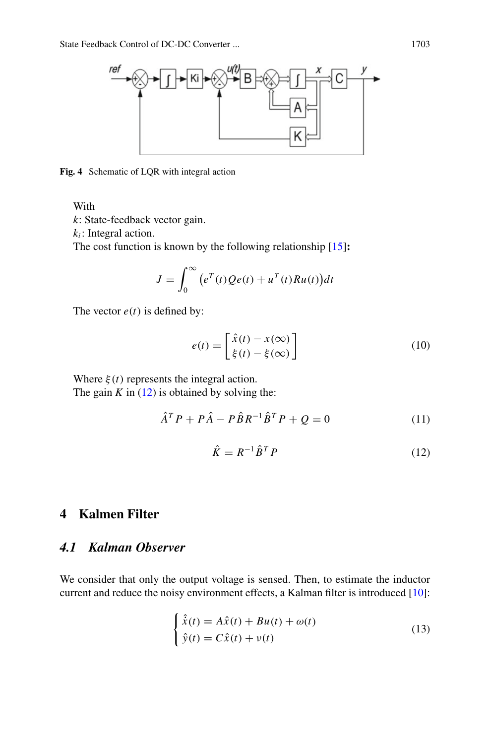

<span id="page-4-1"></span>**Fig. 4** Schematic of LQR with integral action

With

*k*: State-feedback vector gain.

 $k_i$ : Integral action.

The cost function is known by the following relationship [\[15\]](#page-10-14)**:**

$$
J = \int_0^\infty (e^T(t)Qe(t) + u^T(t)Ru(t))dt
$$

The vector  $e(t)$  is defined by:

$$
e(t) = \begin{bmatrix} \hat{x}(t) - x(\infty) \\ \xi(t) - \xi(\infty) \end{bmatrix}
$$
 (10)

Where  $\xi(t)$  represents the integral action. The gain  $K$  in [\(12\)](#page-4-2) is obtained by solving the:

$$
\hat{A}^T P + P \hat{A} - P \hat{B} R^{-1} \hat{B}^T P + Q = 0 \tag{11}
$$

<span id="page-4-2"></span>
$$
\hat{K} = R^{-1} \hat{B}^T P \tag{12}
$$

# <span id="page-4-0"></span>**4 Kalmen Filter**

## *4.1 Kalman Observer*

We consider that only the output voltage is sensed. Then, to estimate the inductor current and reduce the noisy environment effects, a Kalman filter is introduced [\[10\]](#page-10-9):

$$
\begin{cases} \n\hat{x}(t) = A\hat{x}(t) + Bu(t) + \omega(t) \\
\hat{y}(t) = C\hat{x}(t) + v(t)\n\end{cases}
$$
\n(13)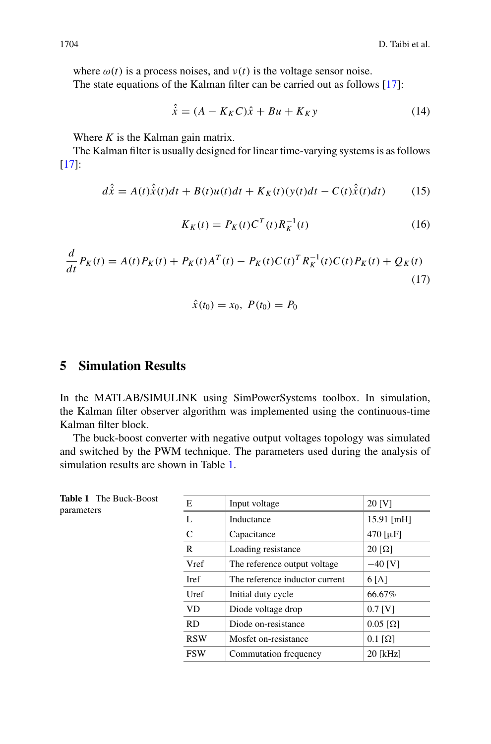where  $\omega(t)$  is a process noises, and  $v(t)$  is the voltage sensor noise.

The state equations of the Kalman filter can be carried out as follows [\[17\]](#page-10-16):

$$
\hat{\dot{x}} = (A - K_K C)\hat{x} + Bu + K_K y \tag{14}
$$

Where *K* is the Kalman gain matrix.

The Kalman filter is usually designed for linear time-varying systems is as follows [\[17\]](#page-10-16):

$$
d\hat{\dot{x}} = A(t)\hat{\dot{x}}(t)dt + B(t)u(t)dt + K_K(t)(y(t)dt - C(t)\hat{\dot{x}}(t)dt)
$$
 (15)

$$
K_K(t) = P_K(t)C^T(t)R_K^{-1}(t)
$$
\n(16)

$$
\frac{d}{dt}P_K(t) = A(t)P_K(t) + P_K(t)A^T(t) - P_K(t)C(t)^T R_K^{-1}(t)C(t)P_K(t) + Q_K(t)
$$
\n(17)

$$
\hat{x}(t_0) = x_0, \ P(t_0) = P_0
$$

#### <span id="page-5-0"></span>**5 Simulation Results**

<span id="page-5-1"></span>**Table 1** The Buck-Boost

parameters

In the MATLAB/SIMULINK using SimPowerSystems toolbox. In simulation, the Kalman filter observer algorithm was implemented using the continuous-time Kalman filter block.

The buck-boost converter with negative output voltages topology was simulated and switched by the PWM technique. The parameters used during the analysis of simulation results are shown in Table [1.](#page-5-1)

| Е            | Input voltage                  | $20$ [V]                             |
|--------------|--------------------------------|--------------------------------------|
| L            | Inductance                     | $15.91$ [mH]                         |
| $\mathsf{C}$ | Capacitance                    | $470$ [ $\mu$ F]                     |
| R            | Loading resistance             | $20 \left\lceil \Omega \right\rceil$ |
| Vref         | The reference output voltage   | $-40$ [V]                            |
| <b>I</b> ref | The reference inductor current | 6 <sup>[A]</sup>                     |
| Uref         | Initial duty cycle             | 66.67%                               |
| VD           | Diode voltage drop             | $0.7$ [V]                            |
| <b>RD</b>    | Diode on-resistance            | $0.05$ [ $\Omega$ ]                  |
| <b>RSW</b>   | Mosfet on-resistance           | $0.1$ [ $\Omega$ ]                   |
| <b>FSW</b>   | Commutation frequency          | 20 [kHz]                             |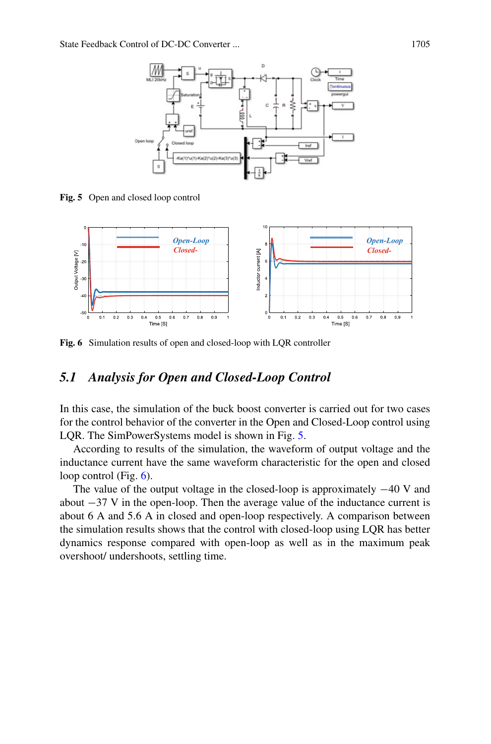

<span id="page-6-0"></span>**Fig. 5** Open and closed loop control



<span id="page-6-1"></span>**Fig. 6** Simulation results of open and closed-loop with LQR controller

#### *5.1 Analysis for Open and Closed-Loop Control*

In this case, the simulation of the buck boost converter is carried out for two cases for the control behavior of the converter in the Open and Closed-Loop control using LQR. The SimPowerSystems model is shown in Fig. [5.](#page-6-0)

According to results of the simulation, the waveform of output voltage and the inductance current have the same waveform characteristic for the open and closed loop control (Fig. [6\)](#page-6-1).

The value of the output voltage in the closed-loop is approximately −40 V and about −37 V in the open-loop. Then the average value of the inductance current is about 6 A and 5.6 A in closed and open-loop respectively. A comparison between the simulation results shows that the control with closed-loop using LQR has better dynamics response compared with open-loop as well as in the maximum peak overshoot/ undershoots, settling time.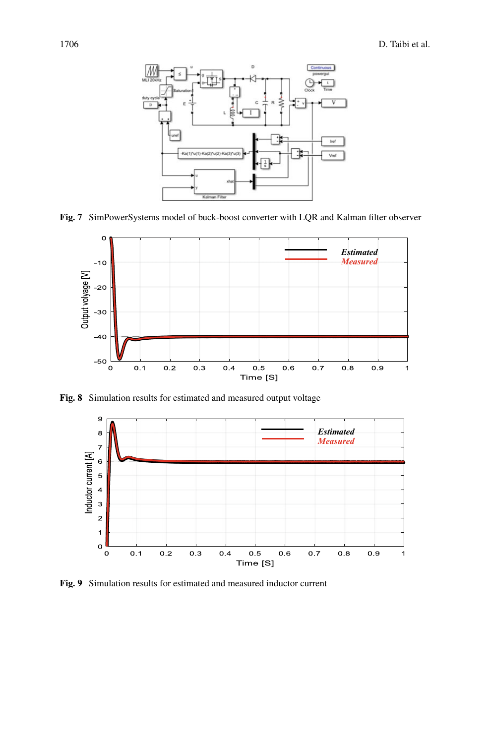

<span id="page-7-0"></span>**Fig. 7** SimPowerSystems model of buck-boost converter with LQR and Kalman filter observer



<span id="page-7-1"></span>**Fig. 8** Simulation results for estimated and measured output voltage



<span id="page-7-2"></span>**Fig. 9** Simulation results for estimated and measured inductor current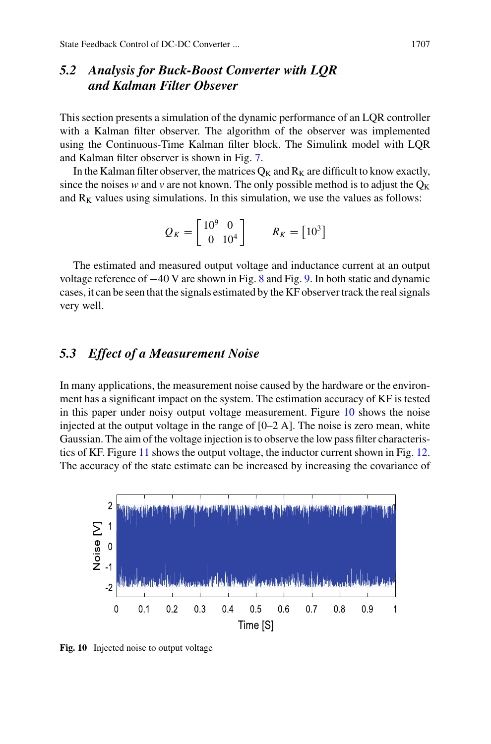# *5.2 Analysis for Buck-Boost Converter with LQR and Kalman Filter Obsever*

This section presents a simulation of the dynamic performance of an LQR controller with a Kalman filter observer. The algorithm of the observer was implemented using the Continuous-Time Kalman filter block. The Simulink model with LQR and Kalman filter observer is shown in Fig. [7.](#page-7-0)

In the Kalman filter observer, the matrices  $Q_K$  and  $R_K$  are difficult to know exactly, since the noises *w* and *v* are not known. The only possible method is to adjust the  $Q_K$ and  $R_K$  values using simulations. In this simulation, we use the values as follows:

$$
Q_K = \begin{bmatrix} 10^9 & 0 \\ 0 & 10^4 \end{bmatrix} \qquad R_K = \begin{bmatrix} 10^3 \end{bmatrix}
$$

The estimated and measured output voltage and inductance current at an output voltage reference of −40 V are shown in Fig. [8](#page-7-1) and Fig. [9.](#page-7-2) In both static and dynamic cases, it can be seen that the signals estimated by the KF observer track the real signals very well.

#### *5.3 Effect of a Measurement Noise*

In many applications, the measurement noise caused by the hardware or the environment has a significant impact on the system. The estimation accuracy of KF is tested in this paper under noisy output voltage measurement. Figure [10](#page-8-0) shows the noise injected at the output voltage in the range of  $[0-2 \text{ A}]$ . The noise is zero mean, white Gaussian. The aim of the voltage injection is to observe the low pass filter characteristics of KF. Figure [11](#page-9-1) shows the output voltage, the inductor current shown in Fig. [12.](#page-9-2) The accuracy of the state estimate can be increased by increasing the covariance of



<span id="page-8-0"></span>**Fig. 10** Injected noise to output voltage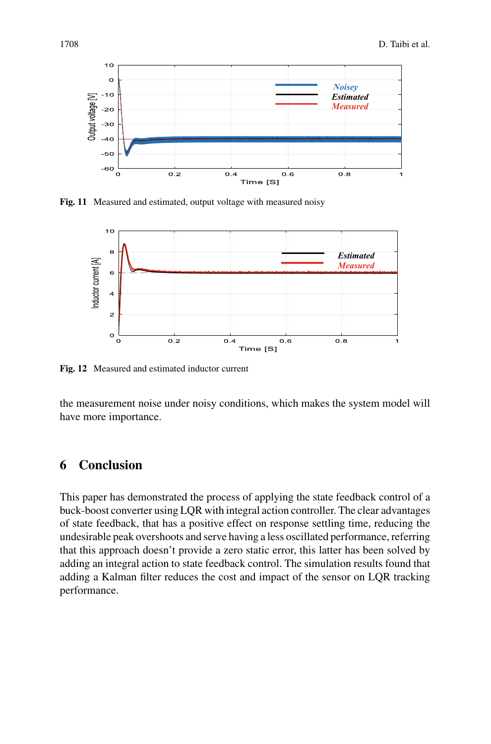

<span id="page-9-1"></span>**Fig. 11** Measured and estimated, output voltage with measured noisy



<span id="page-9-2"></span>**Fig. 12** Measured and estimated inductor current

the measurement noise under noisy conditions, which makes the system model will have more importance.

### <span id="page-9-0"></span>**6 Conclusion**

This paper has demonstrated the process of applying the state feedback control of a buck-boost converter using LQR with integral action controller. The clear advantages of state feedback, that has a positive effect on response settling time, reducing the undesirable peak overshoots and serve having a less oscillated performance, referring that this approach doesn't provide a zero static error, this latter has been solved by adding an integral action to state feedback control. The simulation results found that adding a Kalman filter reduces the cost and impact of the sensor on LQR tracking performance.